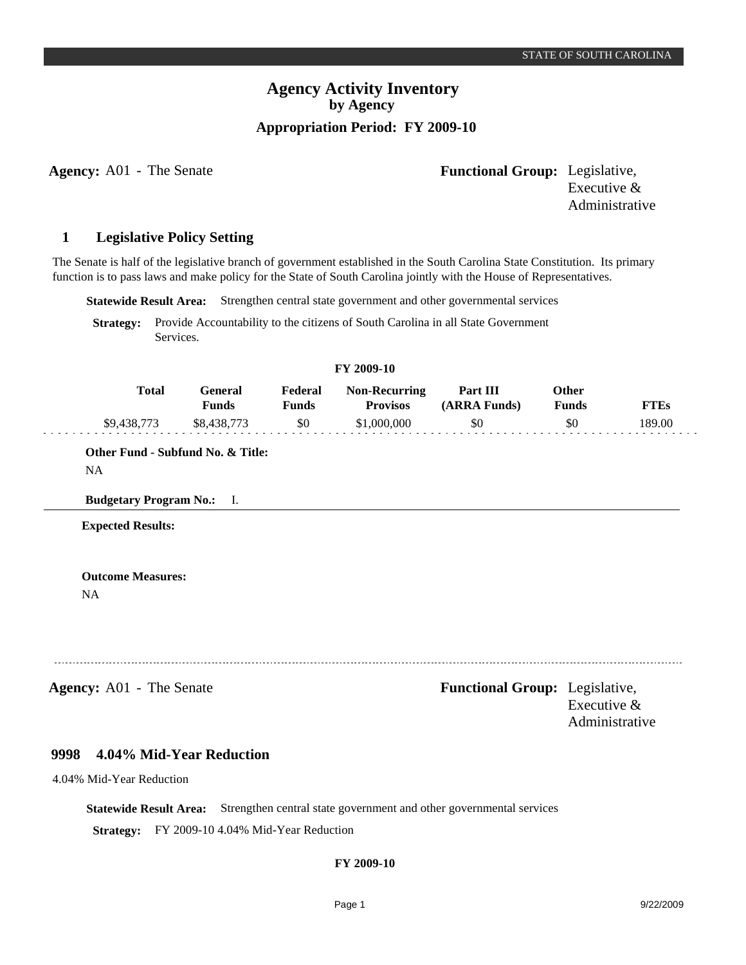# **Agency Activity Inventory by Agency Appropriation Period: FY 2009-10**

**Agency:** A01 - The Senate **-** *Functional Group:* Legislative, Executive & Administrative

#### **Legislative Policy Setting 1**

The Senate is half of the legislative branch of government established in the South Carolina State Constitution. Its primary function is to pass laws and make policy for the State of South Carolina jointly with the House of Representatives.

**Statewide Result Area:** Strengthen central state government and other governmental services

**Strategy:** Provide Accountability to the citizens of South Carolina in all State Government Services.

| FY 2009-10 |             |                  |                         |                                         |                          |                |             |  |  |  |
|------------|-------------|------------------|-------------------------|-----------------------------------------|--------------------------|----------------|-------------|--|--|--|
|            | Total       | General<br>Funds | Federal<br><b>Funds</b> | <b>Non-Recurring</b><br><b>Provisos</b> | Part III<br>(ARRA Funds) | Other<br>Funds | <b>FTEs</b> |  |  |  |
|            | \$9,438,773 | \$8.438.773      | -\$0                    | \$1,000,000                             | \$0                      | \$0            | 189.00      |  |  |  |

### **Other Fund - Subfund No. & Title:** NA

**Budgetary Program No.:** I.

**Expected Results:**

**Outcome Measures:** NA

**Agency:** A01 - The Senate **-** *Functional Group:* Legislative, Executive & Administrative

#### **4.04% Mid-Year Reduction 9998**

4.04% Mid-Year Reduction

**Statewide Result Area:** Strengthen central state government and other governmental services **Strategy:** FY 2009-10 4.04% Mid-Year Reduction

## **FY 2009-10**